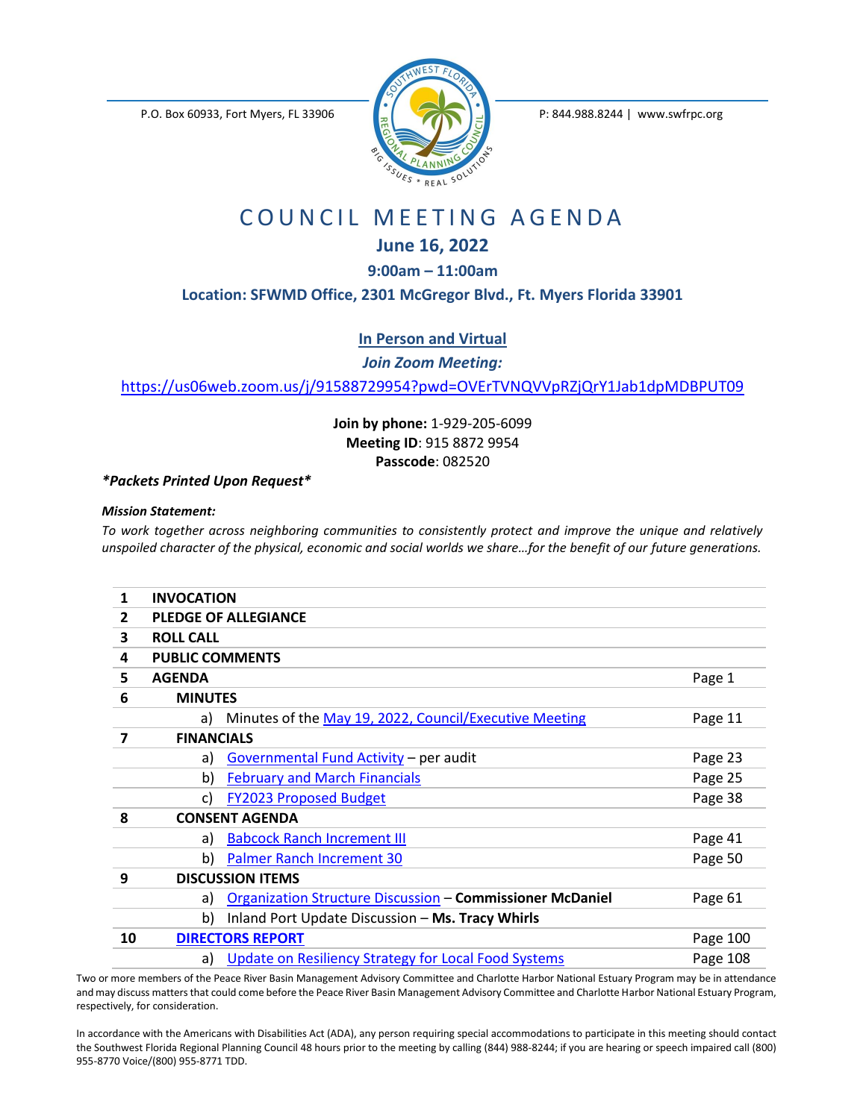P.O. Box 60933, Fort Myers, FL 33906 P: 844.988.8244 | www.swfrpc.org



## COUNCIL MEETING AGENDA

## **June 16, 2022**

**9:00am – 11:00am**

**Location: SFWMD Office, 2301 McGregor Blvd., Ft. Myers Florida 33901**

**In Person and Virtual**

*Join Zoom Meeting:*

<https://us06web.zoom.us/j/91588729954?pwd=OVErTVNQVVpRZjQrY1Jab1dpMDBPUT09>

**Join by phone:** 1-929-205-6099 **Meeting ID**: 915 8872 9954 **Passcode**: 082520

*\*Packets Printed Upon Request\**

## *Mission Statement:*

*To work together across neighboring communities to consistently protect and improve the unique and relatively unspoiled character of the physical, economic and social worlds we share...for the benefit of our future generations.* 

| 1              | <b>INVOCATION</b>       |                                                                  |          |
|----------------|-------------------------|------------------------------------------------------------------|----------|
| $\overline{2}$ |                         | <b>PLEDGE OF ALLEGIANCE</b>                                      |          |
| 3              | <b>ROLL CALL</b>        |                                                                  |          |
| 4              | <b>PUBLIC COMMENTS</b>  |                                                                  |          |
| 5              | <b>AGENDA</b>           |                                                                  | Page 1   |
| 6              | <b>MINUTES</b>          |                                                                  |          |
|                | a)                      | Minutes of the May 19, 2022, Council/Executive Meeting           | Page 11  |
| 7              | <b>FINANCIALS</b>       |                                                                  |          |
|                | a)                      | Governmental Fund Activity - per audit                           | Page 23  |
|                | b)                      | <b>February and March Financials</b>                             | Page 25  |
|                | c)                      | <b>FY2023 Proposed Budget</b>                                    | Page 38  |
| 8              | <b>CONSENT AGENDA</b>   |                                                                  |          |
|                | a)                      | <b>Babcock Ranch Increment III</b>                               | Page 41  |
|                | b)                      | Palmer Ranch Increment 30                                        | Page 50  |
| 9              | <b>DISCUSSION ITEMS</b> |                                                                  |          |
|                | a)                      | <b>Organization Structure Discussion - Commissioner McDaniel</b> | Page 61  |
|                | b)                      | Inland Port Update Discussion - Ms. Tracy Whirls                 |          |
| 10             |                         | <b>DIRECTORS REPORT</b>                                          | Page 100 |
|                | a)                      | Update on Resiliency Strategy for Local Food Systems             | Page 108 |

Two or more members of the Peace River Basin Management Advisory Committee and Charlotte Harbor National Estuary Program may be in attendance and may discuss matters that could come before the Peace River Basin Management Advisory Committee and Charlotte Harbor National Estuary Program, respectively, for consideration.

In accordance with the Americans with Disabilities Act (ADA), any person requiring special accommodations to participate in this meeting should contact the Southwest Florida Regional Planning Council 48 hours prior to the meeting by calling (844) 988-8244; if you are hearing or speech impaired call (800) 955-8770 Voice/(800) 955-8771 TDD.